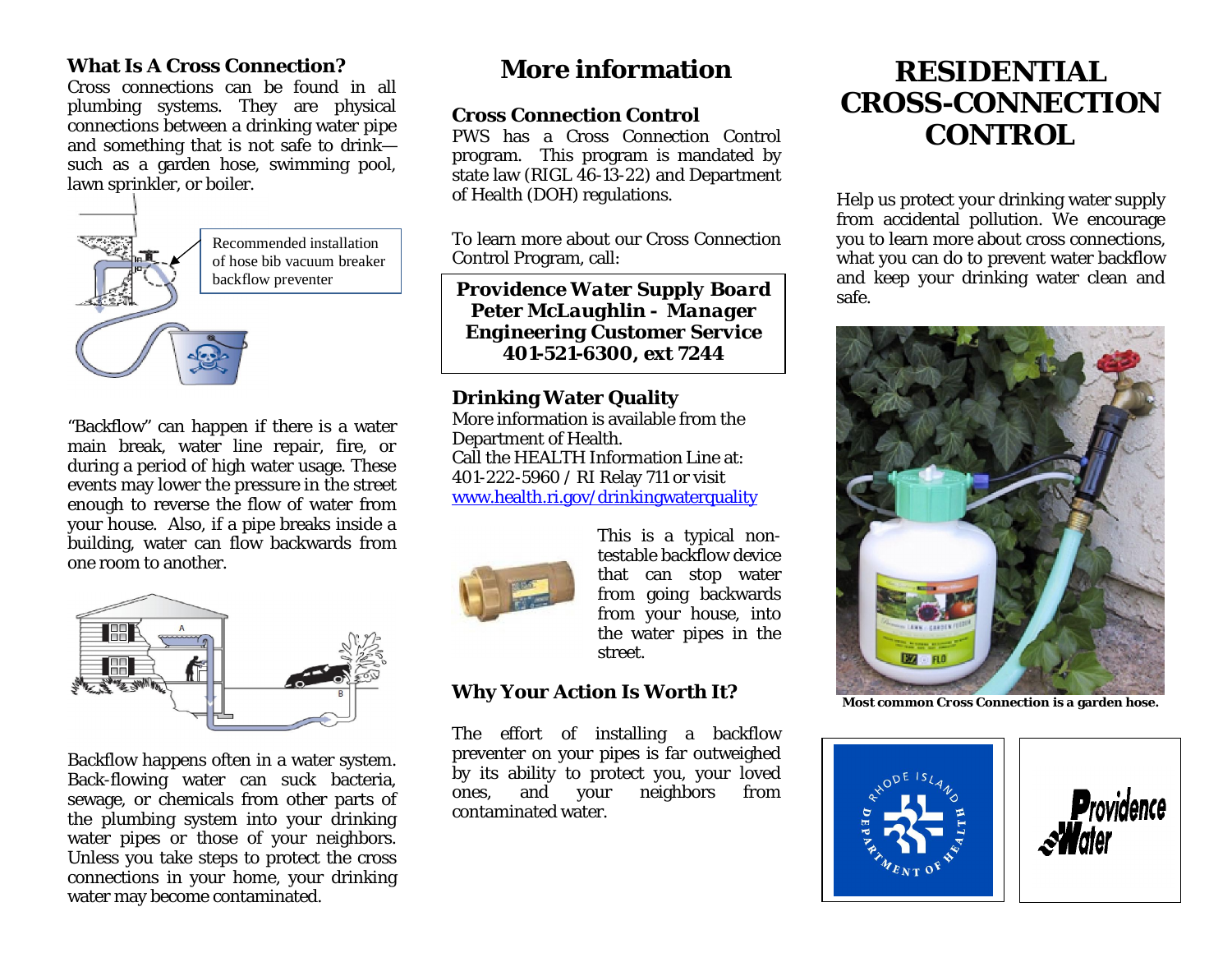### **What Is A Cross Connection?**

Cross connections can be found in all plumbing systems. They are physical connections between a drinking water pipe and something that is not safe to drink such as a garden hose, swimming pool, lawn sprinkler, or boiler.



"Backflow" can happen if there is a water main break, water line repair, fire, or during a period of high water usage. These events may lower the pressure in the street enough to reverse the flow of water from your house. Also, if a pipe breaks inside a building, water can flow backwards from one room to another.



Backflow happens often in a water system. Back-flowing water can suck bacteria, sewage, or chemicals from other parts of the plumbing system into your drinking water pipes or those of your neighbors. Unless you take steps to protect the cross connections in your home, your drinking water may become contaminated.

## **More information**

**Cross Connection Control** PWS has a Cross Connection Control program. This program is mandated by state law (RIGL 46-13-22) and Department of Health (DOH) regulations.

To learn more about our Cross Connection Control Program, call:

backflow preventer *Providence Water Supply Board* **Peter** *McLaughlin - Manager Engineering Customer Service 401-521-6300, ext 7244*

> **Drinking Water Quality** More information is available from the Department of Health. Call the HEALTH Information Line at: 401-222-5960 / RI Relay 711 or visit www.health.ri.gov/drinkingwaterquality



This is a typical nontestable backflow device that can stop water from going backwards from your house, into the water pipes in the street.

## **Why Your Action Is Worth It?**

The effort of installing a backflow preventer on your pipes is far outweighed by its ability to protect you, your loved ones, and your neighbors from contaminated water.

# **RESIDENTIAL CROSS-CONNECTION CONTROL**

Help us protect your drinking water supply from accidental pollution. We encourage you to learn more about cross connections, what you can do to prevent water backflow and keep your drinking water clean and safe.



**Most common Cross Connection is a garden hose.**